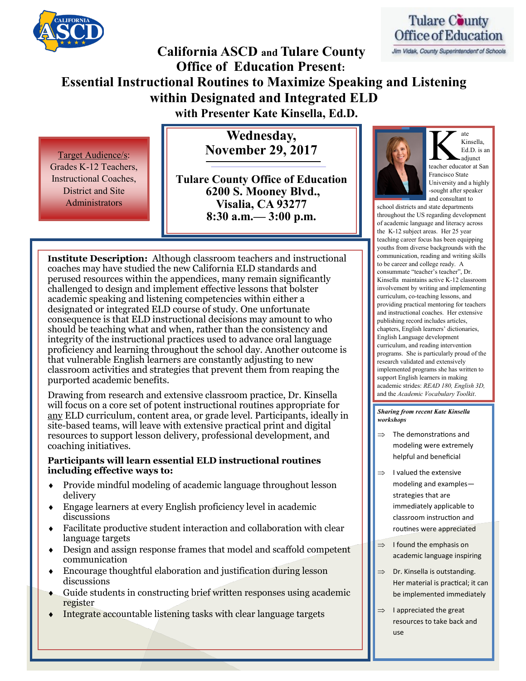

# **California ASCD and Tulare County Office of Education Present: Essential Instructional Routines to Maximize Speaking and Listening within Designated and Integrated ELD with Presenter Kate Kinsella, Ed.D.**

**Wednesday, November 29, 2017**

Target Audience/s: Grades K-12 Teachers, Instructional Coaches, District and Site Administrators

**Tulare County Office of Education 6200 S. Mooney Blvd., Visalia, CA 93277 8:30 a.m.— 3:00 p.m.**

**Institute Description:** Although classroom teachers and instructional coaches may have studied the new California ELD standards and perused resources within the appendices, many remain significantly challenged to design and implement effective lessons that bolster academic speaking and listening competencies within either a designated or integrated ELD course of study. One unfortunate consequence is that ELD instructional decisions may amount to who should be teaching what and when, rather than the consistency and integrity of the instructional practices used to advance oral language proficiency and learning throughout the school day. Another outcome is that vulnerable English learners are constantly adjusting to new classroom activities and strategies that prevent them from reaping the purported academic benefits.

Drawing from research and extensive classroom practice, Dr. Kinsella will focus on a core set of potent instructional routines appropriate for any ELD curriculum, content area, or grade level. Participants, ideally in site-based teams, will leave with extensive practical print and digital resources to support lesson delivery, professional development, and coaching initiatives.

#### **Participants will learn essential ELD instructional routines including effective ways to:**

- Provide mindful modeling of academic language throughout lesson delivery
- Engage learners at every English proficiency level in academic discussions
- Facilitate productive student interaction and collaboration with clear language targets
- Design and assign response frames that model and scaffold competent communication
- Encourage thoughtful elaboration and justification during lesson discussions
- Guide students in constructing brief written responses using academic register
- Integrate accountable listening tasks with clear language targets



Jim Vidak, County Superintendent of Schools



K ate<br>Kinsella,<br>Ed.D. is an<br>teacher educator at San Kinsella, Ed.D. is an adjunct Francisco State University and a highly -sought after speaker and consultant to

ate

school districts and state departments throughout the US regarding development of academic language and literacy across the K-12 subject areas. Her 25 year teaching career focus has been equipping youths from diverse backgrounds with the communication, reading and writing skills to be career and college ready. A consummate "teacher's teacher", Dr. Kinsella maintains active K-12 classroom involvement by writing and implementing curriculum, co-teaching lessons, and providing practical mentoring for teachers and instructional coaches. Her extensive publishing record includes articles, chapters, English learners' dictionaries, English Language development curriculum, and reading intervention programs. She is particularly proud of the research validated and extensively implemented programs she has written to support English learners in making academic strides: *READ 180, English 3D,*  and the *Academic Vocabulary Toolkit*.

#### *Sharing from recent Kate Kinsella workshops*

- The demonstrations and modeling were extremely helpful and beneficial
- $\Rightarrow$  I valued the extensive modeling and examples strategies that are immediately applicable to classroom instruction and routines were appreciated
- $\Rightarrow$  I found the emphasis on academic language inspiring
- $\Rightarrow$  Dr. Kinsella is outstanding. Her material is practical; it can be implemented immediately
- $\Rightarrow$  I appreciated the great resources to take back and use